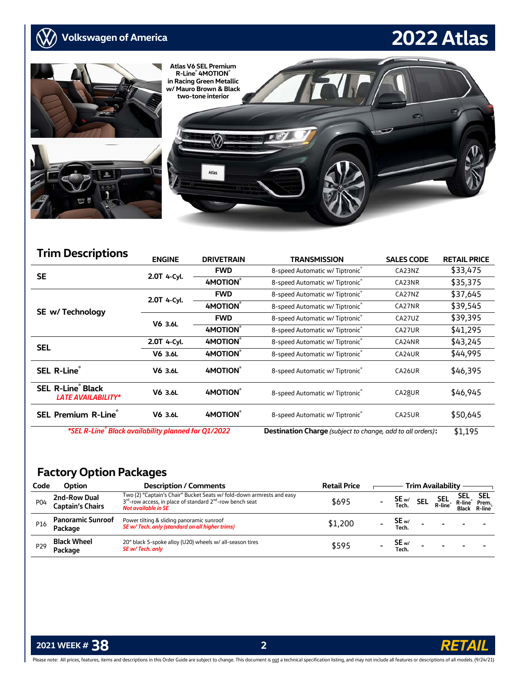

| <b>Trim Descriptions</b>                                         |               |                                               |                                                                   |                   |                     |
|------------------------------------------------------------------|---------------|-----------------------------------------------|-------------------------------------------------------------------|-------------------|---------------------|
|                                                                  | <b>ENGINE</b> | <b>DRIVETRAIN</b>                             | <b>TRANSMISSION</b>                                               | <b>SALES CODE</b> | <b>RETAIL PRICE</b> |
| <b>SE</b>                                                        | 2.0T 4-Cyl.   | <b>FWD</b>                                    | 8-speed Automatic w/ Tiptronic®                                   | CA23NZ            | \$33,475            |
|                                                                  |               | <b>4MOTION®</b>                               | 8-speed Automatic w/ Tiptronic®                                   | CA23NR            | \$35,375            |
|                                                                  | 2.0T 4-Cyl.   | <b>FWD</b><br>8-speed Automatic w/ Tiptronic® |                                                                   | CA27NZ            | \$37,645            |
| SE w/ Technology                                                 |               | 4MOTION®                                      | 8-speed Automatic w/ Tiptronic®                                   | CA27NR            | \$39,545            |
|                                                                  | V6 3.6L       | <b>FWD</b>                                    | 8-speed Automatic w/ Tiptronic®                                   | CA27UZ            | \$39,395            |
|                                                                  |               | 4MOTION®                                      | 8-speed Automatic w/ Tiptronic®                                   | CA27UR            | \$41,295            |
| <b>SEL</b>                                                       | 2.0T 4-Cyl.   | 4MOTION®                                      | 8-speed Automatic w/ Tiptronic®                                   | CA24NR            | \$43,245            |
|                                                                  | V6 3.6L       | 4MOTION®                                      | 8-speed Automatic w/ Tiptronic®                                   | CA24UR            | \$44,995            |
| SEL R-Line®                                                      | V6 3.6L       | 4MOTION®                                      | 8-speed Automatic w/ Tiptronic®                                   | CA26UR            | \$46,395            |
| <b>SEL R-Line<sup>®</sup> Black</b><br><b>LATE AVAILABILITY*</b> | V6 3.6L       | 4MOTION®                                      | 8-speed Automatic w/ Tiptronic®                                   | CA28UR            | \$46,945            |
| <b>SEL Premium R-Line</b> ®<br>V6 3.6L                           |               | <b>4MOTION®</b>                               | 8-speed Automatic w/ Tiptronic®                                   | CA25UR            | \$50,645            |
| *SEL R-Line® Black availability planned for Q1/2022              |               |                                               | <b>Destination Charge</b> (subject to change, add to all orders): |                   | \$1,195             |

## **Factory Option Packages**

| Code            | Option                                  | <b>Description / Comments</b>                                                                                                                                                            | <b>Retail Price</b> |                | <b>Trim Availability</b> |                |                               |
|-----------------|-----------------------------------------|------------------------------------------------------------------------------------------------------------------------------------------------------------------------------------------|---------------------|----------------|--------------------------|----------------|-------------------------------|
| P04             | 2nd-Row Dual<br><b>Captain's Chairs</b> | Two (2) "Captain's Chair" Bucket Seats w/ fold-down armrests and easy<br>3 <sup>rd</sup> -row access, in place of standard 2 <sup>nd</sup> -row bench seat<br><b>Not available in SE</b> | \$695               | SE w/          | SEL<br>R-line            | SEL<br>R-line® | SEL<br>Prem.<br>Black R-line® |
| P16             | <b>Panoramic Sunroof</b><br>Package     | Power tilting & sliding panoramic sunroof<br>SE w/ Tech. only (standard on all higher trims)                                                                                             | \$1,200             | SE w/<br>Tech. |                          |                |                               |
| P <sub>29</sub> | Black Wheel<br>Package                  | 20" black 5-spoke alloy (U20) wheels w/ all-season tires<br>SE w/ Tech. only                                                                                                             | \$595               | SE w/<br>Tech. | $\sim$                   |                |                               |

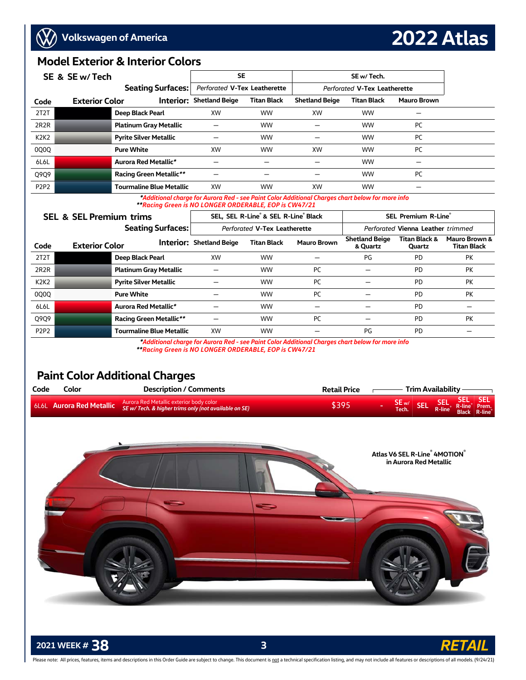### **Model Exterior & Interior Colors**

|                               | SE & SE w/ Tech       |                                 | <b>SE</b>                       |                    |                       | SE w/ Tech.                  |                    |  |  |  |  |
|-------------------------------|-----------------------|---------------------------------|---------------------------------|--------------------|-----------------------|------------------------------|--------------------|--|--|--|--|
| <b>Seating Surfaces:</b>      |                       |                                 | Perforated V-Tex Leatherette    |                    |                       | Perforated V-Tex Leatherette |                    |  |  |  |  |
| Code                          | <b>Exterior Color</b> |                                 | <b>Interior: Shetland Beige</b> | <b>Titan Black</b> | <b>Shetland Beige</b> | <b>Titan Black</b>           | <b>Mauro Brown</b> |  |  |  |  |
| 2T2T                          |                       | Deep Black Pearl                | <b>XW</b>                       | <b>WW</b>          | XW                    | <b>WW</b>                    |                    |  |  |  |  |
| 2R <sub>2</sub> R             |                       | <b>Platinum Gray Metallic</b>   |                                 | <b>WW</b>          |                       | <b>WW</b>                    | PC                 |  |  |  |  |
| K <sub>2</sub> K <sub>2</sub> |                       | <b>Pyrite Silver Metallic</b>   |                                 | <b>WW</b>          |                       | <b>WW</b>                    | PC                 |  |  |  |  |
| 0Q0Q                          |                       | <b>Pure White</b>               | <b>XW</b>                       | <b>WW</b>          | XW                    | <b>WW</b>                    | PC                 |  |  |  |  |
| 6L6L                          |                       | Aurora Red Metallic*            |                                 |                    |                       | <b>WW</b>                    |                    |  |  |  |  |
| Q9Q9                          |                       | <b>Racing Green Metallic**</b>  |                                 | -                  |                       | <b>WW</b>                    | PC                 |  |  |  |  |
| P <sub>2</sub> P <sub>2</sub> |                       | <b>Tourmaline Blue Metallic</b> | XW                              | <b>WW</b>          | XW                    | <b>WW</b>                    |                    |  |  |  |  |

 *\*Additional charge for Aurora Red - see Paint Color Additional Charges chart below for more info \*\*Racing Green is NO LONGER ORDERABLE, EOP is CW47/21* 

### **SEL & SEL Premium trims** SEL, SEL, SEL R-Line<sup>®</sup> & SEL R-Line<sup>®</sup> Black

**SEL Premium R-Line**® **Seating Surfaces:** *Perforated* **V-Tex Leatherette** *Perforated* **Vienna Leather** *trimmed*  **Code Exterior Color Interior: Shetland Beige Titan Black Mauro Brown Shetland Beige & Quartz Titan Black & Quartz Mauro Brown & Titan Black** 2T2T **Deep Black Pearl** XW WW — PG PD PK 2R2R **Platinum Gray Metallic** — WW PC — PD PK K2K2 **Pyrite Silver Metallic** — WW PC — PD PK 0Q0Q **Pure White** — WW PC — PD PK 6L6L **Aurora Red Metallic***\**— WW — — PD — Q9Q9 **Racing Green Metallic***\*\** — WW PC — PD PK P2P2 **Tourmaline Blue Metallic** XW WW — PG PD —

 *\*Additional charge for Aurora Red - see Paint Color Additional Charges chart below for more info* 

### *\*\*Racing Green is NO LONGER ORDERABLE, EOP is CW47/21*

## **Paint Color Additional Charges**

| Code | Color | <b>Description / Comments</b>                                                   | <b>Retail Price</b> |                                                        | Trim Availability <b>_____</b> |  |
|------|-------|---------------------------------------------------------------------------------|---------------------|--------------------------------------------------------|--------------------------------|--|
|      |       | ol 6L Aurora Red Metallic SE w/ Tech. & higher trims only (not available on SE) | \$395               | SE w/ SEL SEL SEL SEL<br>Tech. SEL R-line Black R-line |                                |  |



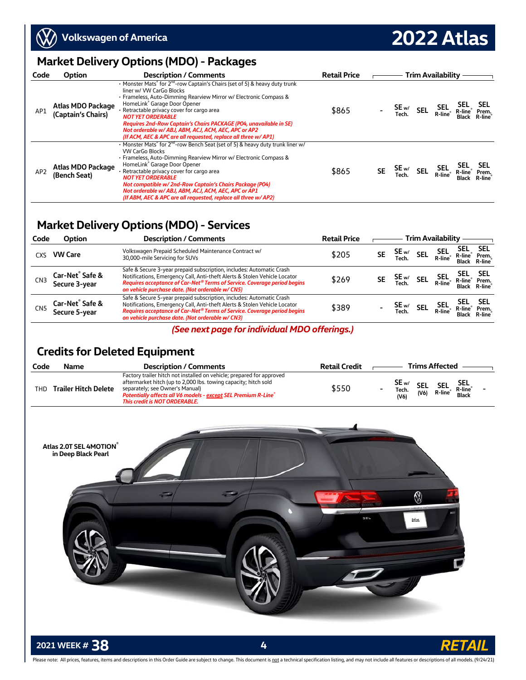

**2022 Atlas**

## **Market Delivery Options (MDO) - Packages**

| Code            | Option                                  | <b>Description / Comments</b>                                                                                                                                                                                                                                                                                                                                                                                                                                                                                   | <b>Retail Price</b> |           |                        | <b>Trim Availability</b> |                 |
|-----------------|-----------------------------------------|-----------------------------------------------------------------------------------------------------------------------------------------------------------------------------------------------------------------------------------------------------------------------------------------------------------------------------------------------------------------------------------------------------------------------------------------------------------------------------------------------------------------|---------------------|-----------|------------------------|--------------------------|-----------------|
| AP1             | Atlas MDO Package<br>(Captain's Chairs) | • Monster Mats <sup>®</sup> for 2 <sup>nd</sup> -row Captain's Chairs (set of 5) & heavy duty trunk<br>liner w/ VW CarGo Blocks<br>• Frameless, Auto-Dimming Rearview Mirror w/ Electronic Compass &<br>HomeLink® Garage Door Opener<br>· Retractable privacy cover for cargo area<br><b>NOT YET ORDERABLE</b><br>Requires 2nd-Row Captain's Chairs PACKAGE (PO4, unavailable in SE)<br>Not orderable w/ ABJ, ABM, ACJ, ACM, AEC, APC or AP2<br>(If ACM, AEC & APC are all requested, replace all three w/ AP1) | \$865               |           | $SE_{w/}$ SEL<br>Tech. | SEL<br>R-line            | Prem.<br>R-line |
| AP <sub>2</sub> | Atlas MDO Package<br>(Bench Seat)       | • Monster Mats <sup>®</sup> for 2 <sup>nd</sup> -row Bench Seat (set of 5) & heavy duty trunk liner w/<br><b>VW CarGo Blocks</b><br>· Frameless, Auto-Dimming Rearview Mirror w/ Electronic Compass &<br>HomeLink® Garage Door Opener<br>. Retractable privacy cover for cargo area<br><b>NOT YET ORDERABLE</b><br>Not compatible w/2nd-Row Captain's Chairs Package (PO4)<br>Not orderable w/ ABJ, ABM, ACJ, ACM, AEC, APC or AP1<br>(If ABM, AEC & APC are all requested, replace all three w/ AP2)           | \$865               | <b>SE</b> | $SE_{w/}$ SEL<br>Tech. | SEL<br>R-line            | Prem.           |

### **Market Delivery Options (MDO) - Services**

| Code            | Option                                       | <b>Description / Comments</b>                                                                                                                                                                                                                                                                | <b>Retail Price</b> |           |                 |            | <b>Trim Availability</b> |                                                                               |                         |
|-----------------|----------------------------------------------|----------------------------------------------------------------------------------------------------------------------------------------------------------------------------------------------------------------------------------------------------------------------------------------------|---------------------|-----------|-----------------|------------|--------------------------|-------------------------------------------------------------------------------|-------------------------|
| CXS             | <b>VW Care</b>                               | Volkswagen Prepaid Scheduled Maintenance Contract w/<br>30,000-mile Servicing for SUVs                                                                                                                                                                                                       | \$205               | <b>SE</b> | SE <sub>w</sub> | <b>SEL</b> | SEL<br>R-line            | <b>SEL</b><br>R-line®<br>Black                                                | SEL<br>Prem.<br>R-line® |
| CN <sub>3</sub> | Car-Net <sup>®</sup> Safe &<br>Secure 3-year | Safe & Secure 3-year prepaid subscription, includes: Automatic Crash<br>Notifications, Emergency Call, Anti-theft Alerts & Stolen Vehicle Locator<br>Requires acceptance of Car-Net <sup>®</sup> Terms of Service. Coverage period begins<br>on vehicle purchase date. (Not orderable w/CN5) | \$269               | <b>SE</b> | SE <sub>w</sub> | <b>SEL</b> |                          | SEL SEL SEL<br>R-line <sup>®</sup> R-line <sup>®</sup> Prem.<br>Black R-line® |                         |
| CN5             | Car-Net <sup>®</sup> Safe &<br>Secure 5-year | Safe & Secure 5-year prepaid subscription, includes: Automatic Crash<br>Notifications, Emergency Call, Anti-theft Alerts & Stolen Vehicle Locator<br>Requires acceptance of Car-Net <sup>®</sup> Terms of Service. Coverage period begins<br>on vehicle purchase date. (Not orderable w/CN3) | \$389               |           | SE w/           | <b>SEL</b> | SEL<br>R-line®           | R-line <sup>®</sup><br>Black                                                  | <b>SEL</b><br>Prem.     |

### *(See next page for individual MDO offerings.)*

# **Credits for Deleted Equipment**

| Code | Name                        | <b>Description / Comments</b>                                                                                                                                                                                                                                                          | <b>Retail Credit</b> |                                   |                    | <b>Trims Affected</b> |                                |  |
|------|-----------------------------|----------------------------------------------------------------------------------------------------------------------------------------------------------------------------------------------------------------------------------------------------------------------------------------|----------------------|-----------------------------------|--------------------|-----------------------|--------------------------------|--|
| THD  | <b>Trailer Hitch Delete</b> | Factory trailer hitch not installed on vehicle; prepared for approved<br>aftermarket hitch (up to 2,000 lbs. towing capacity; hitch sold<br>separately; see Owner's Manual)<br><b>Potentially affects all V6 models - except SEL Premium R-Line</b> ®<br>This credit is NOT ORDERABLE. | \$550                | SE <sub>w/</sub><br>Tech.<br>(V6) | <b>SEL</b><br>(V6) | <b>SEL</b><br>R-line  | <b>SEL</b><br>R-line®<br>Black |  |



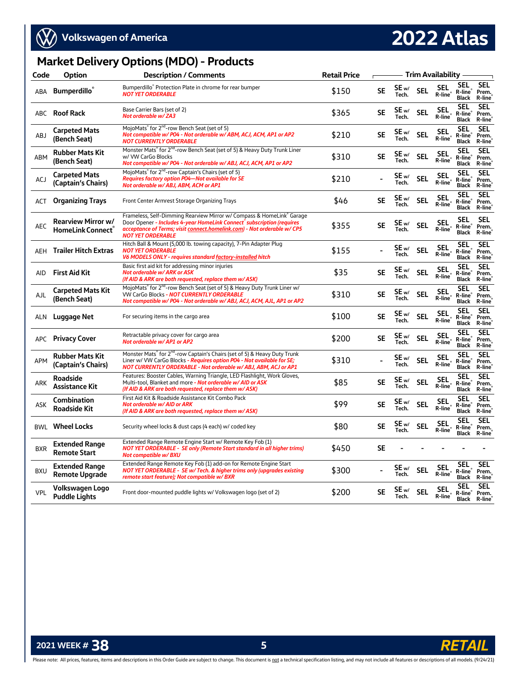

# **2022 Atlas**

## **Market Delivery Options (MDO) - Products**

| Code       | Option                                                | <b>Description / Comments</b>                                                                                                                                                                                                                          | <b>Retail Price</b> |           | Trim Availability -       |            |                                   |                                                   |                               |  |  |
|------------|-------------------------------------------------------|--------------------------------------------------------------------------------------------------------------------------------------------------------------------------------------------------------------------------------------------------------|---------------------|-----------|---------------------------|------------|-----------------------------------|---------------------------------------------------|-------------------------------|--|--|
| ABA        | <b>Bumperdillo</b> ®                                  | Bumperdillo® Protection Plate in chrome for rear bumper<br><b>NOT YET ORDERABLE</b>                                                                                                                                                                    | \$150               | <b>SE</b> | SE <sub>w/</sub><br>Tech. | <b>SEL</b> | <b>SEL</b><br>R-line®             | <b>SEL</b><br>R-line®<br>Black                    | <b>SEL</b><br>Prem.<br>R-line |  |  |
|            | ABC Roof Rack                                         | Base Carrier Bars (set of 2)<br>Not orderable w/ZA3                                                                                                                                                                                                    | \$365               | <b>SE</b> | SE w/<br>Tech.            | <b>SEL</b> | <b>SEL</b><br>R-line <sup>®</sup> | <b>SEL</b><br>R-line<br><b>Black</b>              | <b>SEL</b><br>Prem.<br>R-line |  |  |
| ABJ        | <b>Carpeted Mats</b><br>(Bench Seat)                  | MojoMats <sup>®</sup> for 2 <sup>nd</sup> -row Bench Seat (set of 5)<br>Not compatible w/P04 - Not orderable w/ABM, ACJ, ACM, AP1 or AP2<br><b>NOT CURRENTLY ORDERABLE</b>                                                                             | \$210               | <b>SE</b> | SE <sub>w/</sub><br>Tech. | <b>SEL</b> | <b>SEL</b><br>R-line®             | <b>SEL</b><br>R-line <sup>®</sup><br><b>Black</b> | <b>SEL</b><br>Prem.<br>R-line |  |  |
| ABM        | <b>Rubber Mats Kit</b><br>(Bench Seat)                | Monster Mats <sup>®</sup> for 2 <sup>nd</sup> -row Bench Seat (set of 5) & Heavy Duty Trunk Liner<br>w/ VW CarGo Blocks<br>Not compatible w/P04 - Not orderable w/ABJ, ACJ, ACM, AP1 or AP2                                                            | \$310               | <b>SE</b> | SE w/<br>Tech.            | <b>SEL</b> | <b>SEL</b><br>R-line®             | <b>SEL</b><br>R-line®<br><b>Black</b>             | <b>SEL</b><br>Prem.<br>R-line |  |  |
| ACJ        | <b>Carpeted Mats</b><br>(Captain's Chairs)            | MojoMats <sup>®</sup> for 2 <sup>nd</sup> -row Captain's Chairs (set of 5)<br>Requires factory option PO4-Not available for SE<br>Not orderable w/ ABJ, ABM, ACM or AP1                                                                                | \$210               |           | SE w/<br>Tech.            | <b>SEL</b> | <b>SEL</b><br>R-line              | <b>SEL</b><br>R-line®<br><b>Black</b>             | <b>SEL</b><br>Prem.<br>R-line |  |  |
| ACT        | <b>Organizing Trays</b>                               | Front Center Armrest Storage Organizing Trays                                                                                                                                                                                                          | \$46                | <b>SE</b> | SE <sub>w</sub><br>Tech.  | <b>SEL</b> | <b>SEL</b><br>R-line <sup>®</sup> | <b>SEL</b><br>R-line <sup>®</sup><br><b>Black</b> | <b>SEL</b><br>Prem.<br>R-line |  |  |
| AEC        | <b>Rearview Mirror w/</b><br><b>HomeLink Connect®</b> | Frameless, Self-Dimming Rearview Mirror w/ Compass & HomeLink® Garage<br>Door Opener - Includes 4-year HomeLink Connect® subscription (requires<br>acceptance of Terms; visit connect.homelink.com) - Not orderable w/ CP5<br><b>NOT YET ORDERABLE</b> | \$355               | <b>SE</b> | SE <sub>w/</sub><br>Tech. | <b>SEL</b> | <b>SEL</b><br>R-line <sup>®</sup> | <b>SEL</b><br>R-line®<br><b>Black</b>             | <b>SEL</b><br>Prem.<br>R-line |  |  |
| AEH        | <b>Trailer Hitch Extras</b>                           | Hitch Ball & Mount (5,000 lb. towing capacity), 7-Pin Adapter Plug<br><b>NOT YET ORDERABLE</b><br><b>V6 MODELS ONLY - requires standard factory-installed hitch</b>                                                                                    | \$155               |           | SE <sub>w/</sub><br>Tech. | <b>SEL</b> | <b>SEL</b><br>R-line <sup>®</sup> | <b>SEL</b><br>R-line®<br><b>Black</b>             | <b>SEL</b><br>Prem.<br>R-line |  |  |
| AID        | <b>First Aid Kit</b>                                  | Basic first aid kit for addressing minor injuries<br><b>Not orderable w/ ARK or ASK</b><br>(If AID & ARK are both requested, replace them w/ ASK)                                                                                                      | \$35                | <b>SE</b> | SE <sub>w</sub><br>Tech.  | <b>SEL</b> | <b>SEL</b><br>R-line <sup>®</sup> | <b>SEL</b><br>R-line <sup>®</sup><br><b>Black</b> | <b>SEL</b><br>Prem.<br>R-line |  |  |
| AJL        | <b>Carpeted Mats Kit</b><br>(Bench Seat)              | MojoMats® for 2 <sup>nd</sup> -row Bench Seat (set of 5) & Heavy Duty Trunk Liner w/<br>VW CarGo Blocks - NOT CURRENTLY ORDERABLE<br>Not compatible w/P04 - Not orderable w/ABJ, ACJ, ACM, AJL, AP1 or AP2                                             | \$310               | <b>SE</b> | SE <sub>w</sub><br>Tech.  | <b>SEL</b> | <b>SEL</b><br>R-line <sup>®</sup> | <b>SEL</b><br>R-line®<br><b>Black</b>             | <b>SEL</b><br>Prem.<br>R-line |  |  |
| ALN        | Luggage Net                                           | For securing items in the cargo area                                                                                                                                                                                                                   | \$100               | <b>SE</b> | SE <sub>w</sub><br>Tech.  | <b>SEL</b> | <b>SEL</b><br>R-line <sup>®</sup> | <b>SEL</b><br>R-line®<br><b>Black</b>             | <b>SEL</b><br>Prem.<br>R-line |  |  |
|            | <b>APC</b> Privacy Cover                              | Retractable privacy cover for cargo area<br>Not orderable w/ AP1 or AP2                                                                                                                                                                                | \$200               | <b>SE</b> | SE <sub>w</sub><br>Tech.  | <b>SEL</b> | <b>SEL</b><br>R-line              | <b>SEL</b><br>R-line®<br><b>Black</b>             | <b>SEL</b><br>Prem.<br>R-line |  |  |
| <b>APM</b> | <b>Rubber Mats Kit</b><br>(Captain's Chairs)          | Monster Mats <sup>®</sup> for 2 <sup>nd</sup> -row Captain's Chairs (set of 5) & Heavy Duty Trunk<br>Liner w/ VW CarGo Blocks - Requires option PO4 - Not available for SE;<br>NOT CURRENTLY ORDERABLE - Not orderable w/ ABJ, ABM, ACJ or AP1         | \$310               |           | SE <sub>w</sub><br>Tech.  | <b>SEL</b> | <b>SEL</b><br>R-line®             | <b>SEL</b><br>R-line <sup>®</sup><br><b>Black</b> | <b>SEL</b><br>Prem.<br>R-line |  |  |
| <b>ARK</b> | <b>Roadside</b><br><b>Assistance Kit</b>              | Features: Booster Cables, Warning Triangle, LED Flashlight, Work Gloves,<br>Multi-tool, Blanket and more - Not orderable w/ AID or ASK<br>(If AID & ARK are both requested, replace them w/ ASK)                                                       | \$85                | <b>SE</b> | SE w/<br>Tech.            | <b>SEL</b> | <b>SEL</b><br>R-line®             | <b>SEL</b><br>R-line®<br><b>Black</b>             | <b>SEL</b><br>Prem.<br>R-line |  |  |
| ASK        | <b>Combination</b><br><b>Roadside Kit</b>             | First Aid Kit & Roadside Assistance Kit Combo Pack<br><b>Not orderable w/ AID or ARK</b><br>(If AID & ARK are both requested, replace them w/ ASK)                                                                                                     | \$99                | <b>SE</b> | SE <sub>w</sub><br>Tech.  | <b>SEL</b> | <b>SEL</b><br>R-line®             | <b>SEL</b><br>R-line®<br><b>Black</b>             | <b>SEL</b><br>Prem.<br>R-line |  |  |
|            | <b>BWL</b> Wheel Locks                                | Security wheel locks & dust caps (4 each) w/ coded key                                                                                                                                                                                                 | \$80                | <b>SE</b> | SE <sub>w/</sub><br>Tech. | <b>SEL</b> | <b>SEL</b><br>R-line              | <b>SEL</b><br>R-line <sup>®</sup><br><b>Black</b> | <b>SEL</b><br>Prem.<br>R-line |  |  |
| <b>BXR</b> | <b>Extended Range</b><br><b>Remote Start</b>          | Extended Range Remote Engine Start w/ Remote Key Fob (1)<br><b>NOT YET ORDERABLE - SE only (Remote Start standard in all higher trims)</b><br><b>Not compatible w/ BXU</b>                                                                             | \$450               | <b>SE</b> |                           |            |                                   |                                                   |                               |  |  |
| <b>BXU</b> | <b>Extended Range</b><br><b>Remote Upgrade</b>        | Extended Range Remote Key Fob (1) add-on for Remote Engine Start<br>NOT YET ORDERABLE - SE w/ Tech. & higher trims only (upgrades existing<br>remote start feature); Not compatible w/ BXR                                                             | \$300               |           | SE <sub>w</sub><br>Tech.  | <b>SEL</b> | <b>SEL</b><br>R-line®             | <b>SEL</b><br>R-line®<br><b>Black</b>             | <b>SEL</b><br>Prem.<br>R-line |  |  |
| <b>VPL</b> | Volkswagen Logo<br><b>Puddle Lights</b>               | Front door-mounted puddle lights w/ Volkswagen logo (set of 2)                                                                                                                                                                                         | \$200               | <b>SE</b> | SE <sub>w</sub><br>Tech.  | <b>SEL</b> | <b>SEL</b><br>R-line <sup>®</sup> | <b>SEL</b><br>R-line®<br><b>Black</b>             | <b>SEL</b><br>Prem.<br>R-line |  |  |
|            |                                                       |                                                                                                                                                                                                                                                        |                     |           |                           |            |                                   |                                                   |                               |  |  |



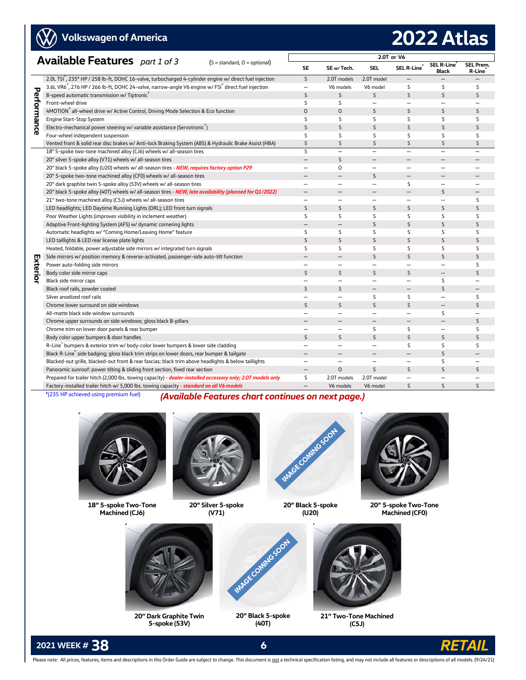**W** 

# **2022 Atlas**

| <b>Available Features</b> part 1 of 3 |                                                                                                                                                               |                          |                          | 2.0T or V6               |                          |                            |                          |
|---------------------------------------|---------------------------------------------------------------------------------------------------------------------------------------------------------------|--------------------------|--------------------------|--------------------------|--------------------------|----------------------------|--------------------------|
|                                       | $(S = standard, O = optional)$                                                                                                                                | <b>SE</b>                | SE w/Tech.               | SEL                      | SEL R-Line®              | SEL R-Line<br><b>Black</b> | SEL Prem.<br>R-Line      |
|                                       | 2.0L TSI , 235* HP / 258 lb-ft, DOHC 16-valve, turbocharged 4-cylinder engine w/ direct fuel injection                                                        | $\mathsf{S}$             | 2.0T models              | 2.0T model               |                          |                            |                          |
|                                       | 3.6L VR6 <sup>®</sup> , 276 HP / 266 lb-ft, DOHC 24-valve, narrow-angle V6 engine w/ FSI <sup>®</sup> direct fuel injection                                   | $\qquad \qquad -$        | V6 models                | V6 model                 | S                        | S                          | S                        |
| Performance                           | 8-speed automatic transmission w/ Tiptronic                                                                                                                   | S                        | S                        | $\mathsf{S}$             | S                        | S                          | S                        |
|                                       | Front-wheel drive                                                                                                                                             | S                        | S                        | $\overline{\phantom{0}}$ | $\overline{\phantom{0}}$ | $\overline{\phantom{0}}$   |                          |
|                                       | 4MOTION® all-wheel drive w/ Active Control, Driving Mode Selection & Eco function                                                                             | $\circ$                  | $\circ$                  | S                        | S                        | S                          | S                        |
|                                       | Engine Start-Stop System                                                                                                                                      | S                        | S                        | S                        | S                        | S                          | S                        |
|                                       | Electro-mechanical power steering w/ variable assistance (Servotronic)                                                                                        | S                        | S                        | S                        | S                        | S                          | S                        |
|                                       | Four-wheel independent suspension                                                                                                                             | S                        | S                        | S                        | S                        | S                          | S                        |
|                                       | Vented front & solid rear disc brakes w/ Anti-lock Braking System (ABS) & Hydraulic Brake Assist (HBA)                                                        | S                        | S                        | S                        | S                        | S                          | S                        |
|                                       | 18" 5-spoke two-tone machined alloy (CJ6) wheels w/ all-season tires                                                                                          | S                        | $\overline{\phantom{0}}$ | $\overline{\phantom{0}}$ | $\overline{\phantom{0}}$ | $\overline{\phantom{0}}$   | $\overline{\phantom{0}}$ |
|                                       | 20" silver 5-spoke alloy (V71) wheels w/ all-season tires                                                                                                     | $\overline{\phantom{0}}$ | S                        | —                        | —                        |                            |                          |
|                                       | 20" black 5-spoke alloy (U20) wheels w/ all-season tires - NEW, requires factory option P29                                                                   | $\overline{\phantom{0}}$ | $\circ$                  | $\overline{\phantom{0}}$ | $\overline{\phantom{0}}$ | $\overline{\phantom{0}}$   |                          |
|                                       | 20" 5-spoke two-tone machined alloy (CF0) wheels w/ all-season tires                                                                                          |                          | $\qquad \qquad -$        | S                        | $-$                      |                            |                          |
|                                       | 20" dark graphite twin 5-spoke alloy (53V) wheels w/ all-season tires                                                                                         | $\overline{\phantom{0}}$ | $\qquad \qquad -$        | $\overline{\phantom{0}}$ | S                        | $\qquad \qquad -$          |                          |
|                                       | 20" black 5-spoke alloy (40T) wheels w/ all-season tires - NEW, late availability (planned for Q1/2022)                                                       | $\overline{\phantom{0}}$ | $\qquad \qquad -$        | —                        | —                        | S                          | —                        |
|                                       | 21" two-tone machined alloy (C5J) wheels w/ all-season tires                                                                                                  | $\overline{\phantom{a}}$ | $\equiv$                 | $\overline{\phantom{0}}$ | $\overline{\phantom{0}}$ | $\overline{\phantom{0}}$   | S                        |
|                                       | LED headlights; LED Daytime Running Lights (DRL); LED front turn signals                                                                                      | S                        | S                        | S                        | S                        | S                          | S                        |
|                                       | Poor Weather Lights (improves visibility in inclement weather)                                                                                                |                          | S                        | S                        | S                        | S                          | S                        |
|                                       | Adaptive Front-lighting System (AFS) w/ dynamic cornering lights                                                                                              | $\overline{\phantom{0}}$ | $\overline{\phantom{0}}$ | S                        | S                        | S                          | S                        |
|                                       | Automatic headlights w/ "Coming Home/Leaving Home" feature                                                                                                    | S                        | S                        | S                        | S                        | S                          | S                        |
|                                       | LED taillights & LED rear license plate lights                                                                                                                | S                        | S                        | S                        | $\mathsf{S}$             | S                          | S                        |
|                                       | Heated, foldable, power adjustable side mirrors w/ integrated turn signals                                                                                    | S                        | S                        | S                        | S                        | S                          | S                        |
|                                       | Side mirrors w/ position memory & reverse-activated, passenger-side auto-tilt function                                                                        | $\overline{\phantom{0}}$ | $\equiv$                 | S                        | S.                       | S                          | S                        |
| Exterior                              | Power auto-folding side mirrors                                                                                                                               | $\overline{\phantom{0}}$ | $\overline{\phantom{0}}$ | $\overline{\phantom{0}}$ | $\equiv$                 | $\overline{\phantom{0}}$   | S                        |
|                                       | Body color side mirror caps                                                                                                                                   | S                        | S                        | S                        | S                        | $\overline{\phantom{0}}$   | $\mathsf{S}$             |
|                                       | Black side mirror caps                                                                                                                                        |                          |                          | $\overline{\phantom{0}}$ | —                        | S                          |                          |
|                                       | Black roof rails, powder coated                                                                                                                               | S                        | S                        | $\overline{\phantom{0}}$ | —                        | S                          | $\qquad \qquad -$        |
|                                       | Silver anodized roof rails                                                                                                                                    | $\overline{\phantom{0}}$ | $\overline{\phantom{0}}$ | S                        | S                        | $\overline{\phantom{0}}$   | S                        |
|                                       | Chrome lower surround on side windows                                                                                                                         | S                        | S                        | $\mathsf{S}$             | S                        | $\overline{\phantom{0}}$   | $\mathsf{S}$             |
|                                       | All-matte black side window surrounds                                                                                                                         | $\overline{\phantom{0}}$ | $\overline{\phantom{0}}$ | $\overline{\phantom{0}}$ | $\overline{\phantom{0}}$ | S                          |                          |
|                                       | Chrome upper surrounds on side windows; gloss black B-pillars                                                                                                 |                          |                          | —                        | —                        | $\overline{\phantom{m}}$   | S                        |
|                                       | Chrome trim on lower door panels & rear bumper                                                                                                                | $\overline{\phantom{0}}$ | $\overline{\phantom{0}}$ | S                        | S                        | $\qquad \qquad -$          | S                        |
|                                       | Body color upper bumpers & door handles                                                                                                                       | S                        | $\mathsf{S}$             | $\mathsf{S}$             | $\mathsf{S}$             | S                          | $\mathsf{S}$             |
|                                       | R-Line® bumpers & exterior trim w/ body-color lower bumpers & lower side cladding                                                                             | $\overline{\phantom{0}}$ | $\overline{\phantom{0}}$ | $\qquad \qquad -$        | S                        | S                          | S                        |
|                                       | Black R-Line® side badging; gloss black trim strips on lower doors, rear bumper & tailgate                                                                    | $\overline{\phantom{0}}$ | $\overline{\phantom{0}}$ | $\overline{\phantom{0}}$ | $\overline{\phantom{0}}$ | $\mathsf{S}$               | $\qquad \qquad -$        |
|                                       | Blacked-out grille, blacked-out front & rear fascias; black trim above headlights & below taillights                                                          | $\overline{\phantom{0}}$ | $\overline{\phantom{0}}$ | $\overline{\phantom{0}}$ | $\overline{\phantom{0}}$ | S                          | $\overline{\phantom{0}}$ |
|                                       | Panoramic sunroof: power tilting & sliding front section, fixed rear section                                                                                  |                          | $\circ$                  | S                        | S.                       | S                          | S                        |
|                                       | Prepared for trailer hitch (2,000 lbs. towing capacity) - dealer-installed accessory only; 2.0T models only                                                   | S                        | 2.0T models              | 2.0T model               | $\overline{\phantom{0}}$ | $\overline{\phantom{0}}$   |                          |
|                                       | Factory-installed trailer hitch w/ 5,000 lbs. towing capacity - standard on all V6 models                                                                     | $\overline{\phantom{m}}$ | V6 models                | V6 model                 | S.                       | $\mathsf{S}$               | S                        |
|                                       | *(235 HP achieved using premium fuel) $\overrightarrow{A}$ and $\overrightarrow{A}$ and $\overrightarrow{B}$ and $\overrightarrow{C}$<br>and the book and and |                          |                          |                          |                          |                            |                          |

**g premium fuel)** (Available Features chart continues on next page.)



**18" 5-spoke Two-Tone Machined (CJ6)** 



**20" Silver 5-spoke (V71)** 



**20" Black 5-spoke (U20)** 



**20" 5-spoke Two-Tone Machined (CF0)** 



**20" Dark Graphite Twin 5-spoke (53V)** 



**20" Black 5-spoke (40T)** 



**21" Two-Tone Machined (C5J)** 

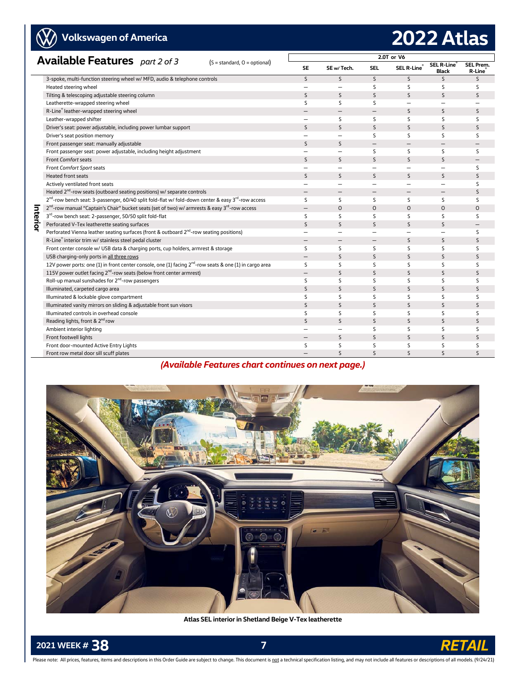# **Volkswagen of America**

# **2022 Atlas**

|          | <b>Available Features</b> part 2 of 3                                                                                      |                                |                          |                          |                          |                          |                          |                             |
|----------|----------------------------------------------------------------------------------------------------------------------------|--------------------------------|--------------------------|--------------------------|--------------------------|--------------------------|--------------------------|-----------------------------|
|          |                                                                                                                            | $(S = standard, O = optional)$ | <b>SE</b>                | SE w/Tech.               | SEL                      | SEL R-Line®              | SEL R-Line®<br>Black     | <b>SEL Prem.</b><br>R-Line® |
|          | 3-spoke, multi-function steering wheel w/ MFD, audio & telephone controls                                                  |                                | $\mathsf{S}$             | $\mathsf{S}$             | S                        | S                        | S                        | $\mathsf{S}$                |
|          | Heated steering wheel                                                                                                      |                                | $\overline{\phantom{0}}$ | Ξ.                       | S                        | S.                       | S                        | S                           |
|          | Tilting & telescoping adjustable steering column                                                                           |                                | S                        | $\mathsf{S}$             | S                        | S                        | S                        | S                           |
|          | Leatherette-wrapped steering wheel                                                                                         |                                | S                        | S                        | S                        | $\overline{\phantom{0}}$ | $\overline{\phantom{0}}$ |                             |
|          | R-Line® leather-wrapped steering wheel                                                                                     |                                |                          | $-$                      | $\overline{\phantom{0}}$ | S.                       | S                        | S                           |
|          | Leather-wrapped shifter                                                                                                    |                                | $\overline{\phantom{0}}$ | S                        | S                        | S                        | S                        | S                           |
|          | Driver's seat: power adjustable, including power lumbar support                                                            |                                | S                        | $\mathsf{S}$             | $\mathsf{S}$             | S                        | S                        | S                           |
|          | Driver's seat position memory                                                                                              |                                | $\overline{\phantom{0}}$ | $=$                      | S                        | S                        | S                        | S                           |
|          | Front passenger seat: manually adjustable                                                                                  |                                | S                        | $\mathsf{S}$             | $\overline{\phantom{0}}$ | $\overline{\phantom{0}}$ |                          |                             |
|          | Front passenger seat: power adjustable, including height adjustment                                                        |                                | $\overline{\phantom{0}}$ | $\overline{\phantom{0}}$ | S                        | S                        | S                        | S                           |
|          | <b>Front Comfort seats</b>                                                                                                 |                                | S                        | S.                       | <sub>S</sub>             | S.                       | S                        | —                           |
|          | Front Comfort Sport seats                                                                                                  |                                |                          |                          | Ξ.                       | $\overline{\phantom{0}}$ |                          | S                           |
|          | <b>Heated front seats</b>                                                                                                  |                                | S                        | $\mathsf{S}$             | $\mathsf{S}$             | S                        | S                        | S                           |
|          | Actively ventilated front seats                                                                                            |                                | $\overline{\phantom{0}}$ | Ξ.                       | $\overline{\phantom{0}}$ | $\overline{\phantom{0}}$ | $\overline{\phantom{0}}$ | S                           |
|          | Heated 2 <sup>nd</sup> -row seats (outboard seating positions) w/ separate controls                                        |                                | $\overline{\phantom{0}}$ | $\qquad \qquad -$        | $\qquad \qquad -$        | $\overline{\phantom{0}}$ | $\overline{\phantom{0}}$ | S                           |
|          | 2 <sup>nd</sup> -row bench seat: 3-passenger, 60/40 split fold-flat w/ fold-down center & easy 3 <sup>rd</sup> -row access |                                | S                        | S                        | S                        | S                        | S                        | S                           |
|          | 2 <sup>nd</sup> -row manual "Captain's Chair" bucket seats (set of two) w/ armrests & easy 3 <sup>rd</sup> -row access     |                                | $\qquad \qquad -$        | $\Omega$                 | $\Omega$                 | $\Omega$                 | $\circ$                  | $\circ$                     |
| Interior | 3rd-row bench seat: 2-passenger, 50/50 split fold-flat                                                                     |                                | S                        | S                        | S                        | S                        | S                        | S                           |
|          | Perforated V-Tex leatherette seating surfaces                                                                              |                                | S                        | $\mathsf{S}$             | S                        | S                        | S                        | —                           |
|          | Perforated Vienna leather seating surfaces (front & outboard 2 <sup>nd</sup> -row seating positions)                       |                                | $\overline{\phantom{0}}$ | -                        | $\overline{\phantom{0}}$ | $\overline{\phantom{0}}$ | $\overline{\phantom{0}}$ | S                           |
|          | R-Line® interior trim w/ stainless steel pedal cluster                                                                     |                                | $\overline{\phantom{0}}$ | $\overline{\phantom{0}}$ | $\overline{\phantom{m}}$ | S                        | S                        | S                           |
|          | Front center console w/ USB data & charging ports, cup holders, armrest & storage                                          |                                | S                        | S                        | S                        | S                        | S                        | S                           |
|          | USB charging-only ports in all three rows                                                                                  |                                |                          | S                        | <sub>S</sub>             | S.                       | S                        | S                           |
|          | 12V power ports: one (1) in front center console, one (1) facing 2 <sup>nd</sup> -row seats & one (1) in cargo area        |                                | S                        | S                        | S                        | S                        | S                        | S                           |
|          | 115V power outlet facing 2 <sup>nd</sup> -row seats (below front center armrest)                                           |                                | $\overline{\phantom{0}}$ | S                        | S                        | S                        | S                        | S                           |
|          | Roll-up manual sunshades for 2 <sup>nd</sup> -row passengers                                                               |                                | S                        | S                        | S                        | S                        | S                        | S                           |
|          | Illuminated, carpeted cargo area                                                                                           |                                | S                        | $\mathsf{S}$             | S                        | S                        | S                        | S                           |
|          | Illuminated & lockable glove compartment                                                                                   |                                | S                        | S                        | S                        | S                        | S                        | S                           |
|          | Illuminated vanity mirrors on sliding & adjustable front sun visors                                                        |                                | S                        | $\mathsf{S}$             | S                        | S                        | S                        | S                           |
|          | Illuminated controls in overhead console                                                                                   |                                | S                        | S                        | S                        | S                        | S                        | S                           |
|          | Reading lights, front & 2 <sup>nd</sup> row                                                                                |                                | S                        | $\mathsf{S}$             | S                        | <sub>S</sub>             | S                        | $\mathsf{S}$                |
|          | Ambient interior lighting                                                                                                  |                                | $\overline{\phantom{0}}$ | Ξ.                       | S                        | S                        | S                        | S                           |
|          | Front footwell lights                                                                                                      |                                |                          | S                        | $\mathsf S$              | $\sf S$                  | S                        | S                           |
|          | Front door-mounted Active Entry Lights                                                                                     |                                | S                        | S                        | S                        | S                        | S                        | S                           |
|          | Front row metal door sill scuff plates                                                                                     |                                |                          | $\mathsf{S}$             | $\mathsf{S}$             | $\mathsf{S}$             | $\mathsf{S}$             | S                           |

### *(Available Features chart continues on next page.)*



**Atlas SEL interior in Shetland Beige V-Tex leatherette**

**2021 WEEK # 38** *R* 

 $\rightarrow$